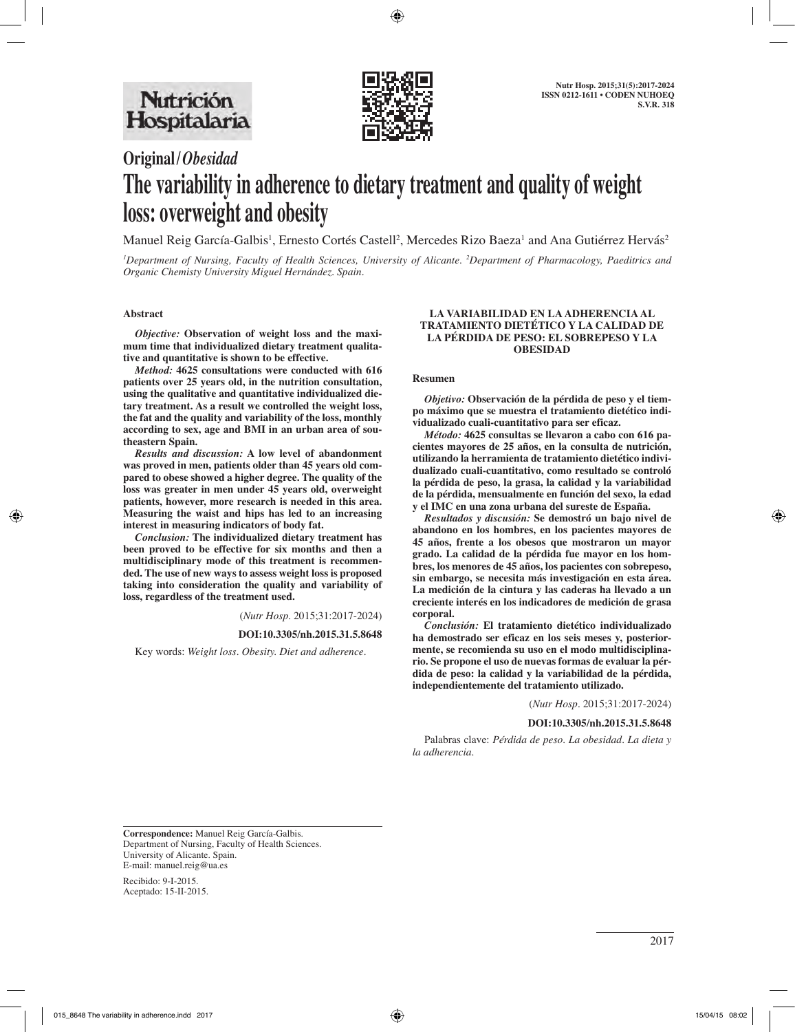

# **Original/***Obesidad* **The variability in adherence to dietary treatment and quality of weight loss: overweight and obesity**

Manuel Reig García-Galbis<sup>1</sup>, Ernesto Cortés Castell<sup>2</sup>, Mercedes Rizo Baeza<sup>1</sup> and Ana Gutiérrez Hervás<sup>2</sup>

*1 Department of Nursing, Faculty of Health Sciences, University of Alicante. 2 Department of Pharmacology, Paeditrics and Organic Chemisty University Miguel Hernández. Spain.*

#### **Abstract**

*Objective:* **Observation of weight loss and the maximum time that individualized dietary treatment qualitative and quantitative is shown to be effective.** 

*Method:* **4625 consultations were conducted with 616 patients over 25 years old, in the nutrition consultation, using the qualitative and quantitative individualized dietary treatment. As a result we controlled the weight loss, the fat and the quality and variability of the loss, monthly according to sex, age and BMI in an urban area of southeastern Spain.** 

*Results and discussion:* **A low level of abandonment was proved in men, patients older than 45 years old compared to obese showed a higher degree. The quality of the loss was greater in men under 45 years old, overweight patients, however, more research is needed in this area. Measuring the waist and hips has led to an increasing interest in measuring indicators of body fat.** 

*Conclusion:* **The individualized dietary treatment has been proved to be effective for six months and then a multidisciplinary mode of this treatment is recommended. The use of new ways to assess weight loss is proposed taking into consideration the quality and variability of loss, regardless of the treatment used.**

(*Nutr Hosp.* 2015;31:2017-2024)

#### **DOI:10.3305/nh.2015.31.5.8648**

Key words: *Weight loss. Obesity. Diet and adherence.*

#### **LA VARIABILIDAD EN LA ADHERENCIA AL TRATAMIENTO DIETÉTICO Y LA CALIDAD DE LA PÉRDIDA DE PESO: EL SOBREPESO Y LA OBESIDAD**

#### **Resumen**

*Objetivo:* **Observación de la pérdida de peso y el tiempo máximo que se muestra el tratamiento dietético individualizado cuali-cuantitativo para ser eficaz.** 

*Método:* **4625 consultas se llevaron a cabo con 616 pacientes mayores de 25 años, en la consulta de nutrición, utilizando la herramienta de tratamiento dietético individualizado cuali-cuantitativo, como resultado se controló la pérdida de peso, la grasa, la calidad y la variabilidad de la pérdida, mensualmente en función del sexo, la edad y el IMC en una zona urbana del sureste de España.** 

*Resultados y discusión:* **Se demostró un bajo nivel de abandono en los hombres, en los pacientes mayores de 45 años, frente a los obesos que mostraron un mayor grado. La calidad de la pérdida fue mayor en los hombres, los menores de 45 años, los pacientes con sobrepeso, sin embargo, se necesita más investigación en esta área. La medición de la cintura y las caderas ha llevado a un creciente interés en los indicadores de medición de grasa corporal.** 

*Conclusión:* **El tratamiento dietético individualizado ha demostrado ser eficaz en los seis meses y, posteriormente, se recomienda su uso en el modo multidisciplinario. Se propone el uso de nuevas formas de evaluar la pérdida de peso: la calidad y la variabilidad de la pérdida, independientemente del tratamiento utilizado.**

(*Nutr Hosp.* 2015;31:2017-2024)

#### **DOI:10.3305/nh.2015.31.5.8648**

Palabras clave: *Pérdida de peso. La obesidad. La dieta y la adherencia.*

**Correspondence:** Manuel Reig García-Galbis. Department of Nursing, Faculty of Health Sciences. University of Alicante. Spain. E-mail: manuel.reig@ua.es

Recibido: 9-I-2015. Aceptado: 15-II-2015.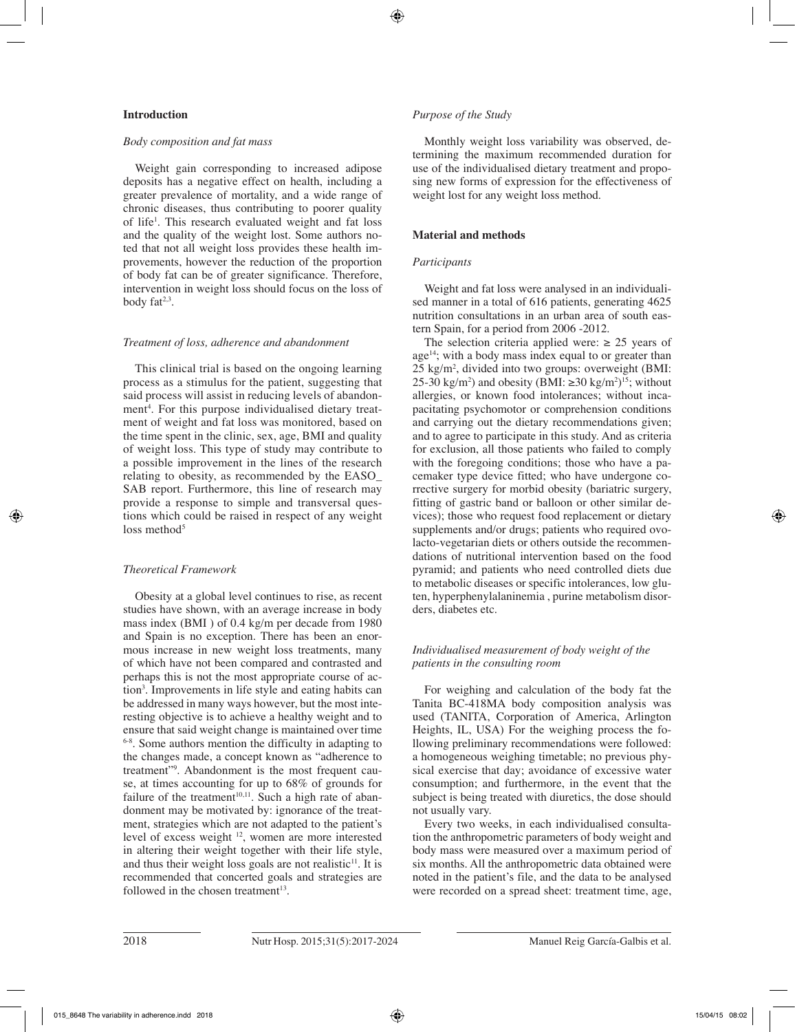## **Introduction**

#### *Body composition and fat mass*

Weight gain corresponding to increased adipose deposits has a negative effect on health, including a greater prevalence of mortality, and a wide range of chronic diseases, thus contributing to poorer quality of life<sup>1</sup>. This research evaluated weight and fat loss and the quality of the weight lost. Some authors noted that not all weight loss provides these health improvements, however the reduction of the proportion of body fat can be of greater significance. Therefore, intervention in weight loss should focus on the loss of body  $fat^{2,3}$ .

## *Treatment of loss, adherence and abandonment*

This clinical trial is based on the ongoing learning process as a stimulus for the patient, suggesting that said process will assist in reducing levels of abandonment<sup>4</sup>. For this purpose individualised dietary treatment of weight and fat loss was monitored, based on the time spent in the clinic, sex, age, BMI and quality of weight loss. This type of study may contribute to a possible improvement in the lines of the research relating to obesity, as recommended by the EASO\_ SAB report. Furthermore, this line of research may provide a response to simple and transversal questions which could be raised in respect of any weight loss method $5$ 

# *Theoretical Framework*

Obesity at a global level continues to rise, as recent studies have shown, with an average increase in body mass index (BMI ) of 0.4 kg/m per decade from 1980 and Spain is no exception. There has been an enormous increase in new weight loss treatments, many of which have not been compared and contrasted and perhaps this is not the most appropriate course of action3 . Improvements in life style and eating habits can be addressed in many ways however, but the most interesting objective is to achieve a healthy weight and to ensure that said weight change is maintained over time 6-8. Some authors mention the difficulty in adapting to the changes made, a concept known as "adherence to treatment"9 . Abandonment is the most frequent cause, at times accounting for up to 68% of grounds for failure of the treatment<sup>10,11</sup>. Such a high rate of abandonment may be motivated by: ignorance of the treatment, strategies which are not adapted to the patient's level of excess weight 12, women are more interested in altering their weight together with their life style, and thus their weight loss goals are not realistic<sup>11</sup>. It is recommended that concerted goals and strategies are followed in the chosen treatment $13$ .

# *Purpose of the Study*

Monthly weight loss variability was observed, determining the maximum recommended duration for use of the individualised dietary treatment and proposing new forms of expression for the effectiveness of weight lost for any weight loss method.

# **Material and methods**

# *Participants*

Weight and fat loss were analysed in an individualised manner in a total of 616 patients, generating 4625 nutrition consultations in an urban area of south eastern Spain, for a period from 2006 -2012.

The selection criteria applied were:  $\geq 25$  years of  $age<sup>14</sup>$ ; with a body mass index equal to or greater than 25 kg/m2 , divided into two groups: overweight (BMI: 25-30 kg/m<sup>2</sup>) and obesity (BMI: ≥30 kg/m<sup>2</sup>)<sup>15</sup>; without allergies, or known food intolerances; without incapacitating psychomotor or comprehension conditions and carrying out the dietary recommendations given; and to agree to participate in this study. And as criteria for exclusion, all those patients who failed to comply with the foregoing conditions; those who have a pacemaker type device fitted; who have undergone corrective surgery for morbid obesity (bariatric surgery, fitting of gastric band or balloon or other similar devices); those who request food replacement or dietary supplements and/or drugs; patients who required ovolacto-vegetarian diets or others outside the recommendations of nutritional intervention based on the food pyramid; and patients who need controlled diets due to metabolic diseases or specific intolerances, low gluten, hyperphenylalaninemia , purine metabolism disorders, diabetes etc.

# *Individualised measurement of body weight of the patients in the consulting room*

For weighing and calculation of the body fat the Tanita BC-418MA body composition analysis was used (TANITA, Corporation of America, Arlington Heights, IL, USA) For the weighing process the following preliminary recommendations were followed: a homogeneous weighing timetable; no previous physical exercise that day; avoidance of excessive water consumption; and furthermore, in the event that the subject is being treated with diuretics, the dose should not usually vary.

Every two weeks, in each individualised consultation the anthropometric parameters of body weight and body mass were measured over a maximum period of six months. All the anthropometric data obtained were noted in the patient's file, and the data to be analysed were recorded on a spread sheet: treatment time, age,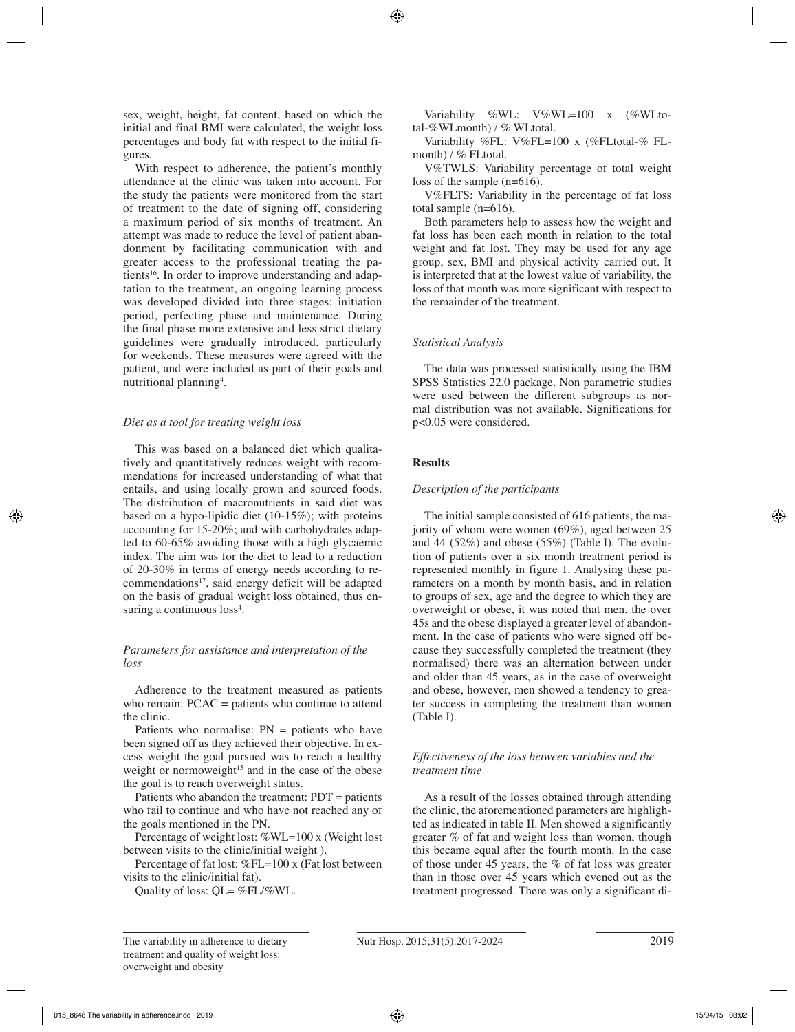sex, weight, height, fat content, based on which the initial and final BMI were calculated, the weight loss percentages and body fat with respect to the initial figures.

With respect to adherence, the patient's monthly attendance at the clinic was taken into account. For the study the patients were monitored from the start of treatment to the date of signing off, considering a maximum period of six months of treatment. An attempt was made to reduce the level of patient abandonment by facilitating communication with and greater access to the professional treating the patients<sup>16</sup>. In order to improve understanding and adaptation to the treatment, an ongoing learning process was developed divided into three stages: initiation period, perfecting phase and maintenance. During the final phase more extensive and less strict dietary guidelines were gradually introduced, particularly for weekends. These measures were agreed with the patient, and were included as part of their goals and nutritional planning<sup>4</sup>.

#### *Diet as a tool for treating weight loss*

This was based on a balanced diet which qualitatively and quantitatively reduces weight with recommendations for increased understanding of what that entails, and using locally grown and sourced foods. The distribution of macronutrients in said diet was based on a hypo-lipidic diet (10-15%); with proteins accounting for 15-20%; and with carbohydrates adapted to 60-65% avoiding those with a high glycaemic index. The aim was for the diet to lead to a reduction of 20-30% in terms of energy needs according to re $commendations<sup>17</sup>$ , said energy deficit will be adapted on the basis of gradual weight loss obtained, thus ensuring a continuous loss<sup>4</sup>.

## *Parameters for assistance and interpretation of the loss*

Adherence to the treatment measured as patients who remain: PCAC = patients who continue to attend the clinic.

Patients who normalise:  $PN =$  patients who have been signed off as they achieved their objective. In excess weight the goal pursued was to reach a healthy weight or normoweight<sup>15</sup> and in the case of the obese the goal is to reach overweight status.

Patients who abandon the treatment: PDT = patients who fail to continue and who have not reached any of the goals mentioned in the PN.

Percentage of weight lost: %WL=100 x (Weight lost between visits to the clinic/initial weight )*.* 

Percentage of fat lost: %FL=100 x (Fat lost between visits to the clinic/initial fat).

Quality of loss: QL= %FL/%WL.

Variability %WL: V%WL=100 x (%WLtotal-%WLmonth) / % WLtotal.

Variability %FL: V%FL=100 x (%FLtotal-% FLmonth) / % FLtotal.

V%TWLS: Variability percentage of total weight loss of the sample (n=616).

V%FLTS: Variability in the percentage of fat loss total sample (n=616).

Both parameters help to assess how the weight and fat loss has been each month in relation to the total weight and fat lost. They may be used for any age group, sex, BMI and physical activity carried out. It is interpreted that at the lowest value of variability, the loss of that month was more significant with respect to the remainder of the treatment.

# *Statistical Analysis*

The data was processed statistically using the IBM SPSS Statistics 22.0 package. Non parametric studies were used between the different subgroups as normal distribution was not available. Significations for p<0.05 were considered.

# **Results**

# *Description of the participants*

The initial sample consisted of 616 patients, the majority of whom were women (69%), aged between 25 and 44  $(52\%)$  and obese  $(55\%)$  (Table I). The evolution of patients over a six month treatment period is represented monthly in figure 1. Analysing these parameters on a month by month basis, and in relation to groups of sex, age and the degree to which they are overweight or obese, it was noted that men, the over 45s and the obese displayed a greater level of abandonment. In the case of patients who were signed off because they successfully completed the treatment (they normalised) there was an alternation between under and older than 45 years, as in the case of overweight and obese, however, men showed a tendency to greater success in completing the treatment than women (Table I).

## *Effectiveness of the loss between variables and the treatment time*

As a result of the losses obtained through attending the clinic, the aforementioned parameters are highlighted as indicated in table II. Men showed a significantly greater % of fat and weight loss than women, though this became equal after the fourth month. In the case of those under 45 years, the % of fat loss was greater than in those over 45 years which evened out as the treatment progressed. There was only a significant di-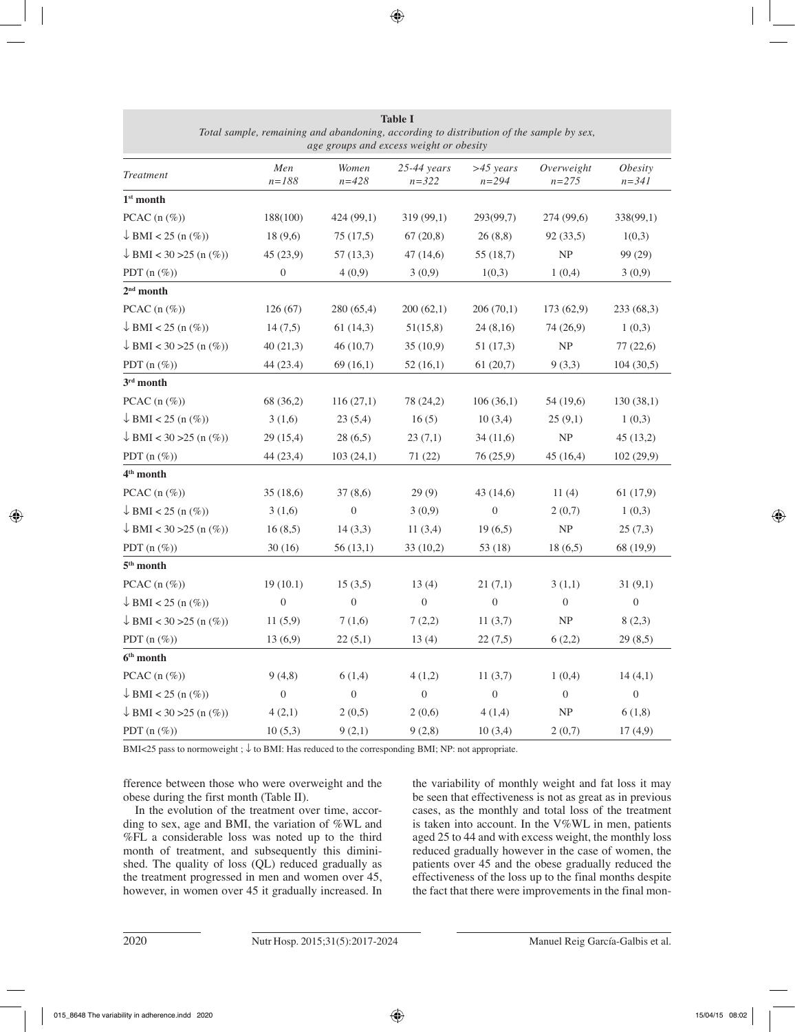| age groups and excess weight or obesity |                  |                    |                               |                          |                         |                                    |
|-----------------------------------------|------------------|--------------------|-------------------------------|--------------------------|-------------------------|------------------------------------|
| Treatment                               | Men<br>$n = 188$ | Women<br>$n = 428$ | $25-44 \, years$<br>$n = 322$ | $>45$ years<br>$n = 294$ | Overweight<br>$n = 275$ | <i><b>Obesity</b></i><br>$n = 341$ |
| $1st$ month                             |                  |                    |                               |                          |                         |                                    |
| PCAC $(n \, (\%)$                       | 188(100)         | 424 (99,1)         | 319 (99,1)                    | 293(99,7)                | 274 (99,6)              | 338(99,1)                          |
| $\downarrow$ BMI < 25 (n $(\%)$ )       | 18(9,6)          | 75(17,5)           | 67(20,8)                      | 26(8,8)                  | 92(33,5)                | 1(0,3)                             |
| $\downarrow$ BMI < 30 > 25 (n (%))      | 45 (23,9)        | 57(13,3)           | 47(14,6)                      | 55 (18,7)                | NP                      | 99 (29)                            |
| PDT $(n \ (\%))$                        | $\boldsymbol{0}$ | 4(0,9)             | 3(0,9)                        | 1(0,3)                   | 1(0,4)                  | 3(0,9)                             |
| $2nd$ month                             |                  |                    |                               |                          |                         |                                    |
| PCAC $(n (\%))$                         | 126(67)          | 280 (65,4)         | 200(62,1)                     | 206(70,1)                | 173(62,9)               | 233 (68,3)                         |
| $\downarrow$ BMI < 25 (n $(\%)$ )       | 14(7,5)          | 61(14,3)           | 51(15,8)                      | 24(8,16)                 | 74 (26,9)               | 1(0,3)                             |
| $\downarrow$ BMI < 30 > 25 (n $(\%)$ )  | 40(21,3)         | 46(10,7)           | 35(10,9)                      | 51 (17,3)                | NP                      | 77(22,6)                           |
| PDT $(n \, (\%)$                        | 44 (23.4)        | 69(16,1)           | 52(16,1)                      | 61(20,7)                 | 9(3,3)                  | 104(30,5)                          |
| 3rd month                               |                  |                    |                               |                          |                         |                                    |
| PCAC $(n (\%))$                         | 68 (36,2)        | 116(27,1)          | 78 (24,2)                     | 106(36,1)                | 54 (19,6)               | 130(38,1)                          |
| $\downarrow$ BMI < 25 (n $(\%)$ )       | 3(1,6)           | 23(5,4)            | 16(5)                         | 10(3,4)                  | 25(9,1)                 | 1(0,3)                             |
| $\downarrow$ BMI < 30 > 25 (n $(\%)$ )  | 29 (15,4)        | 28(6,5)            | 23(7,1)                       | 34(11,6)                 | NP                      | 45(13,2)                           |
| PDT $(n \, (\%)$                        | 44 (23,4)        | 103(24,1)          | 71 (22)                       | 76 (25,9)                | 45 (16,4)               | 102 (29,9)                         |
| 4 <sup>th</sup> month                   |                  |                    |                               |                          |                         |                                    |
| PCAC $(n \, (\%)$                       | 35(18,6)         | 37(8,6)            | 29(9)                         | 43 (14,6)                | 11(4)                   | 61(17,9)                           |
| $\downarrow$ BMI < 25 (n $(\%)$ )       | 3(1,6)           | $\boldsymbol{0}$   | 3(0,9)                        | $\boldsymbol{0}$         | 2(0,7)                  | 1(0,3)                             |
| $\downarrow$ BMI < 30 > 25 (n $(\%)$ )  | 16(8,5)          | 14(3,3)            | 11(3,4)                       | 19(6,5)                  | NP                      | 25(7,3)                            |
| PDT $(n \, (\%)$                        | 30(16)           | 56 (13,1)          | 33(10,2)                      | 53 (18)                  | 18(6,5)                 | 68 (19,9)                          |
| $5^{\rm th}$ month                      |                  |                    |                               |                          |                         |                                    |
| PCAC $(n (\%))$                         | 19(10.1)         | 15(3,5)            | 13(4)                         | 21(7,1)                  | 3(1,1)                  | 31(9,1)                            |
| $\downarrow$ BMI < 25 (n $(\%)$ )       | $\boldsymbol{0}$ | $\boldsymbol{0}$   | $\boldsymbol{0}$              | $\boldsymbol{0}$         | $\boldsymbol{0}$        | $\boldsymbol{0}$                   |
| $\downarrow$ BMI < 30 > 25 (n $(\%)$ )  | 11(5,9)          | 7(1,6)             | 7(2,2)                        | 11(3,7)                  | NP                      | 8(2,3)                             |
| PDT $(n \, (\%)$                        | 13(6,9)          | 22(5,1)            | 13(4)                         | 22(7,5)                  | 6(2,2)                  | 29(8,5)                            |
| $6th$ month                             |                  |                    |                               |                          |                         |                                    |
| PCAC $(n \, (\%)$                       | 9(4,8)           | 6(1,4)             | 4(1,2)                        | 11(3,7)                  | 1(0,4)                  | 14(4,1)                            |
| $\downarrow$ BMI < 25 (n $(\%)$ )       | $\boldsymbol{0}$ | $\boldsymbol{0}$   | $\overline{0}$                | $\boldsymbol{0}$         | $\boldsymbol{0}$        | $\boldsymbol{0}$                   |
| $\downarrow$ BMI < 30 > 25 (n (%))      | 4(2,1)           | 2(0,5)             | 2(0,6)                        | 4(1,4)                   | NP                      | 6(1,8)                             |
| PDT $(n \, (\%)$                        | 10(5,3)          | 9(2,1)             | 9(2,8)                        | 10(3,4)                  | 2(0,7)                  | 17(4,9)                            |

| <b>Table I</b>                                                                          |  |  |  |  |
|-----------------------------------------------------------------------------------------|--|--|--|--|
| Total sample, remaining and abandoning, according to distribution of the sample by sex, |  |  |  |  |
| age groups and excess weight or obesity                                                 |  |  |  |  |

BMI<25 pass to normoweight ; ↓ to BMI: Has reduced to the corresponding BMI; NP: not appropriate.

fference between those who were overweight and the obese during the first month (Table II).

In the evolution of the treatment over time, according to sex, age and BMI, the variation of %WL and %FL a considerable loss was noted up to the third month of treatment, and subsequently this diminished. The quality of loss (QL) reduced gradually as the treatment progressed in men and women over 45, however, in women over 45 it gradually increased. In the variability of monthly weight and fat loss it may be seen that effectiveness is not as great as in previous cases, as the monthly and total loss of the treatment is taken into account. In the V%WL in men, patients aged 25 to 44 and with excess weight, the monthly loss reduced gradually however in the case of women, the patients over 45 and the obese gradually reduced the effectiveness of the loss up to the final months despite the fact that there were improvements in the final mon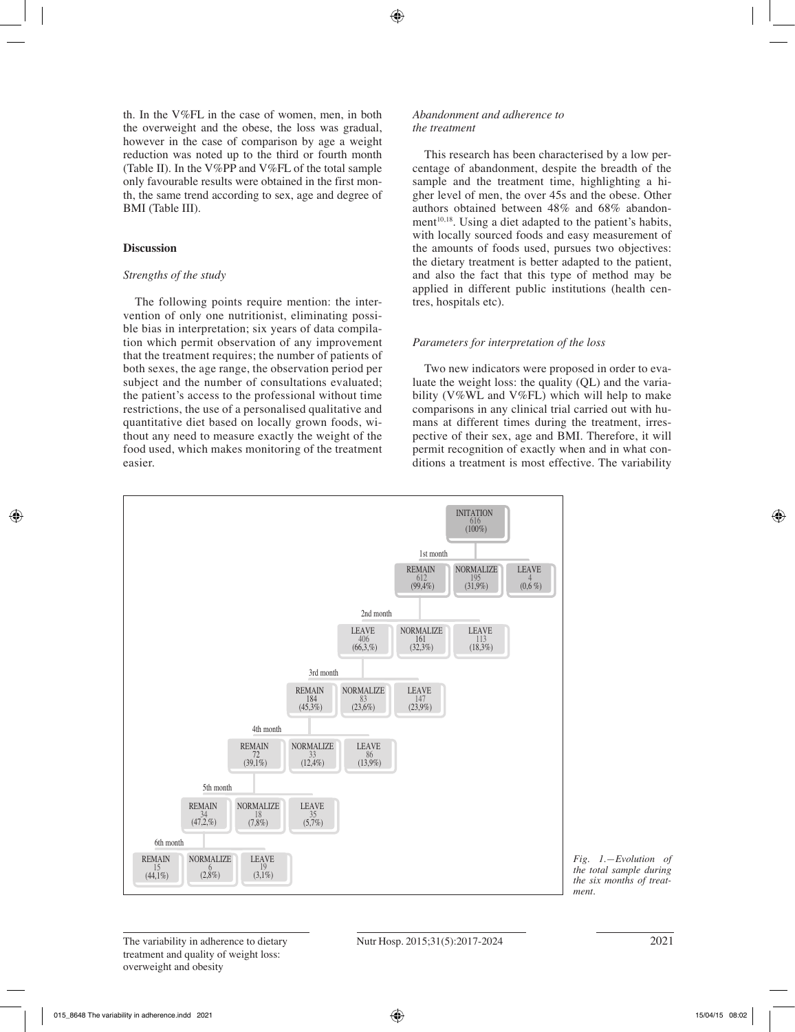th. In the V%FL in the case of women, men, in both the overweight and the obese, the loss was gradual, however in the case of comparison by age a weight reduction was noted up to the third or fourth month (Table II). In the V%PP and V%FL of the total sample only favourable results were obtained in the first month, the same trend according to sex, age and degree of BMI (Table III).

## **Discussion**

#### *Strengths of the study*

The following points require mention: the intervention of only one nutritionist, eliminating possible bias in interpretation; six years of data compilation which permit observation of any improvement that the treatment requires; the number of patients of both sexes, the age range, the observation period per subject and the number of consultations evaluated; the patient's access to the professional without time restrictions, the use of a personalised qualitative and quantitative diet based on locally grown foods, without any need to measure exactly the weight of the food used, which makes monitoring of the treatment easier.

#### *Abandonment and adherence to the treatment*

This research has been characterised by a low percentage of abandonment, despite the breadth of the sample and the treatment time, highlighting a higher level of men, the over 45s and the obese. Other authors obtained between 48% and 68% abandonment<sup>10,18</sup>. Using a diet adapted to the patient's habits, with locally sourced foods and easy measurement of the amounts of foods used, pursues two objectives: the dietary treatment is better adapted to the patient, and also the fact that this type of method may be applied in different public institutions (health centres, hospitals etc).

## *Parameters for interpretation of the loss*

Two new indicators were proposed in order to evaluate the weight loss: the quality (QL) and the variability (V%WL and V%FL) which will help to make comparisons in any clinical trial carried out with humans at different times during the treatment, irrespective of their sex, age and BMI. Therefore, it will permit recognition of exactly when and in what conditions a treatment is most effective. The variability



*Fig. 1.—Evolution of the total sample during the six months of treatment.*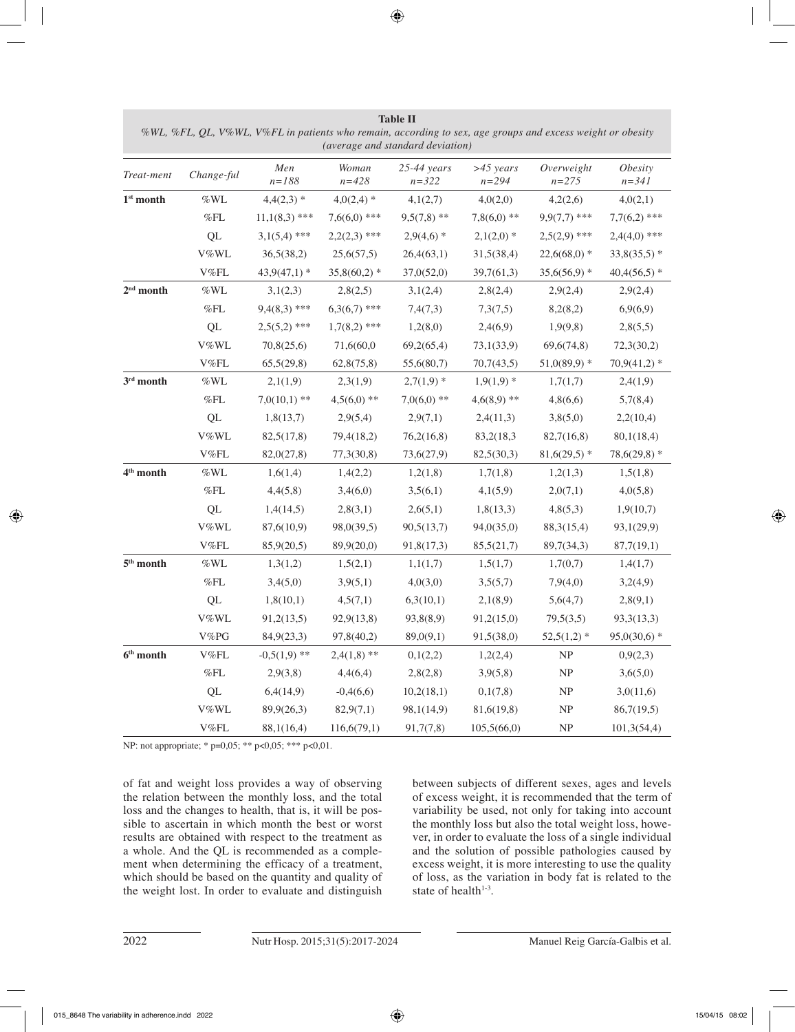| Treat-ment            | Change-ful          | Men<br>$n = 188$ | Woman<br>$n = 428$ | $25 - 44$ years<br>$n = 322$ | $>45$ years<br>$n = 294$ | Overweight<br>$n = 275$           | <i><b>Obesity</b></i><br>$n = 341$ |
|-----------------------|---------------------|------------------|--------------------|------------------------------|--------------------------|-----------------------------------|------------------------------------|
| $1st$ month           | $\% \text{WL}$      | $4,4(2,3)*$      | $4,0(2,4)$ *       | 4,1(2,7)                     | 4,0(2,0)                 | 4,2(2,6)                          | 4,0(2,1)                           |
|                       | $\%$ FL             | $11,1(8,3)$ ***  | $7,6(6,0)$ ***     | $9,5(7,8)$ **                | $7,8(6,0)$ **            | $9,9(7,7)$ ***                    | $7,7(6,2)$ ***                     |
|                       | QL                  | $3,1(5,4)$ ***   | $2,2(2,3)$ ***     | $2,9(4,6)*$                  | $2,1(2,0)$ *             | $2,5(2,9)$ ***                    | $2,4(4,0)$ ***                     |
|                       | V%WL                | 36,5(38,2)       | 25,6(57,5)         | 26,4(63,1)                   | 31,5(38,4)               | $22,6(68,0)*$                     | $33,8(35,5)$ *                     |
|                       | V%FL                | $43,9(47,1)$ *   | $35,8(60,2)$ *     | 37,0(52,0)                   | 39,7(61,3)               | $35,6(56,9)$ *                    | $40,4(56,5)$ *                     |
| $2^{\rm nd}$ month    | $\%\mathrm{WL}$     | 3,1(2,3)         | 2,8(2,5)           | 3,1(2,4)                     | 2,8(2,4)                 | 2,9(2,4)                          | 2,9(2,4)                           |
|                       | $\%$ FL             | $9,4(8,3)$ ***   | $6,3(6,7)$ ***     | 7,4(7,3)                     | 7,3(7,5)                 | 8,2(8,2)                          | 6,9(6,9)                           |
|                       | QL                  | $2,5(5,2)$ ***   | $1,7(8,2)$ ***     | 1,2(8,0)                     | 2,4(6,9)                 | 1,9(9,8)                          | 2,8(5,5)                           |
|                       | V%WL                | 70,8(25,6)       | 71,6(60,0          | 69,2(65,4)                   | 73,1(33,9)               | 69,6(74,8)                        | 72,3(30,2)                         |
|                       | V%FL                | 65,5(29,8)       | 62,8(75,8)         | 55,6(80,7)                   | 70,7(43,5)               | $51,0(89,9)*$                     | $70,9(41,2)*$                      |
| $3^{\rm rd}$ month    | $\% \text{WL}$      | 2,1(1,9)         | 2,3(1,9)           | $2,7(1,9)$ *                 | $1,9(1,9)$ *             | 1,7(1,7)                          | 2,4(1,9)                           |
|                       | $\%$ FL             | $7,0(10,1)$ **   | $4,5(6,0)$ **      | $7,0(6,0)$ **                | $4,6(8,9)$ **            | 4,8(6,6)                          | 5,7(8,4)                           |
|                       | QL                  | 1,8(13,7)        | 2,9(5,4)           | 2,9(7,1)                     | 2,4(11,3)                | 3,8(5,0)                          | 2,2(10,4)                          |
|                       | V%WL                | 82,5(17,8)       | 79,4(18,2)         | 76,2(16,8)                   | 83,2(18,3)               | 82,7(16,8)                        | 80,1(18,4)                         |
|                       | V%FL                | 82,0(27,8)       | 77,3(30,8)         | 73,6(27,9)                   | 82,5(30,3)               | $81,6(29,5)$ *                    | $78,6(29,8)*$                      |
| 4 <sup>th</sup> month | $\%\mathrm{WL}$     | 1,6(1,4)         | 1,4(2,2)           | 1,2(1,8)                     | 1,7(1,8)                 | 1,2(1,3)                          | 1,5(1,8)                           |
|                       | %FL                 | 4,4(5,8)         | 3,4(6,0)           | 3,5(6,1)                     | 4,1(5,9)                 | 2,0(7,1)                          | 4,0(5,8)                           |
|                       | QL                  | 1,4(14,5)        | 2,8(3,1)           | 2,6(5,1)                     | 1,8(13,3)                | 4,8(5,3)                          | 1,9(10,7)                          |
|                       | V%WL                | 87,6(10,9)       | 98,0(39,5)         | 90,5(13,7)                   | 94,0(35,0)               | 88,3(15,4)                        | 93,1(29,9)                         |
|                       | ${\rm V}\%{\rm FL}$ | 85,9(20,5)       | 89,9(20,0)         | 91,8(17,3)                   | 85,5(21,7)               | 89,7(34,3)                        | 87,7(19,1)                         |
| $5th$ month           | %WL                 | 1,3(1,2)         | 1,5(2,1)           | 1,1(1,7)                     | 1,5(1,7)                 | 1,7(0,7)                          | 1,4(1,7)                           |
|                       | $\%$ FL             | 3,4(5,0)         | 3,9(5,1)           | 4,0(3,0)                     | 3,5(5,7)                 | 7,9(4,0)                          | 3,2(4,9)                           |
|                       | QL                  | 1,8(10,1)        | 4,5(7,1)           | 6,3(10,1)                    | 2,1(8,9)                 | 5,6(4,7)                          | 2,8(9,1)                           |
|                       | V%WL                | 91,2(13,5)       | 92,9(13,8)         | 93,8(8,9)                    | 91,2(15,0)               | 79,5(3,5)                         | 93,3(13,3)                         |
|                       | V%PG                | 84,9(23,3)       | 97,8(40,2)         | 89,0(9,1)                    | 91,5(38,0)               | $52,5(1,2)*$                      | $95,0(30,6)*$                      |
| $6^{\rm th}$ month    | ${\rm V}\%{\rm FL}$ | $-0,5(1,9)$ **   | $2,4(1,8)$ **      | 0,1(2,2)                     | 1,2(2,4)                 | $\ensuremath{\mathsf{NP}}$        | 0,9(2,3)                           |
|                       | %FL                 | 2,9(3,8)         | 4,4(6,4)           | 2,8(2,8)                     | 3,9(5,8)                 | NP                                | 3,6(5,0)                           |
|                       | QL                  | 6,4(14,9)        | $-0,4(6,6)$        | 10,2(18,1)                   | 0,1(7,8)                 | $\ensuremath{\mathsf{NP}}$        | 3,0(11,6)                          |
|                       | V%WL                | 89,9(26,3)       | 82,9(7,1)          | 98,1(14,9)                   | 81,6(19,8)               | $\ensuremath{\mathsf{NP}}\xspace$ | 86,7(19,5)                         |
|                       | ${\rm V}\%{\rm FL}$ | 88,1(16,4)       | 116,6(79,1)        | 91,7(7,8)                    | 105,5(66,0)              | $\ensuremath{\mathsf{NP}}\xspace$ | 101,3(54,4)                        |

**Table II** *%WL, %FL, QL, V%WL, V%FL in patients who remain, according to sex, age groups and excess weight or obesity (average and standard deviation)*

NP: not appropriate; \* p=0,05; \*\* p<0,05; \*\*\* p<0,01.

of fat and weight loss provides a way of observing the relation between the monthly loss, and the total loss and the changes to health, that is, it will be possible to ascertain in which month the best or worst results are obtained with respect to the treatment as a whole. And the QL is recommended as a complement when determining the efficacy of a treatment, which should be based on the quantity and quality of the weight lost. In order to evaluate and distinguish between subjects of different sexes, ages and levels of excess weight, it is recommended that the term of variability be used, not only for taking into account the monthly loss but also the total weight loss, however, in order to evaluate the loss of a single individual and the solution of possible pathologies caused by excess weight, it is more interesting to use the quality of loss, as the variation in body fat is related to the state of health $1-3$ .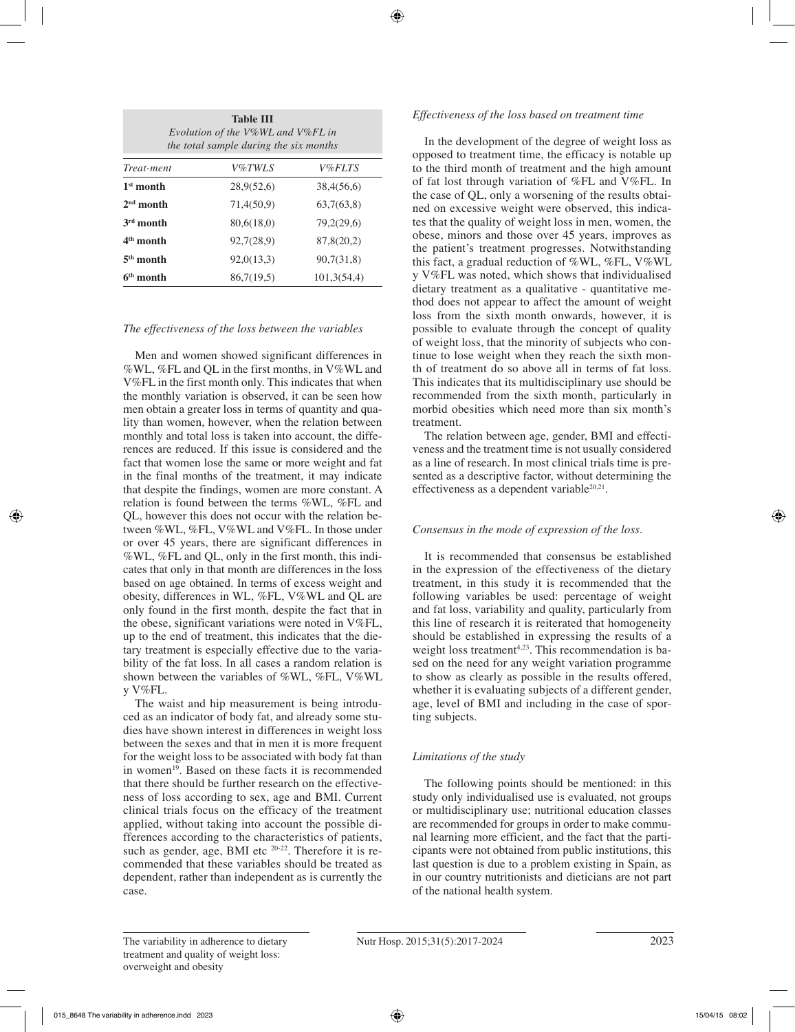| <b>Table III</b><br>Evolution of the V%WL and V%FL in<br>the total sample during the six months |            |               |  |  |
|-------------------------------------------------------------------------------------------------|------------|---------------|--|--|
| Treat-ment                                                                                      | V%TWLS     | <i>V%FLTS</i> |  |  |
| $1st$ month                                                                                     | 28,9(52,6) | 38,4(56,6)    |  |  |
| $2nd$ month                                                                                     | 71,4(50,9) | 63,7(63,8)    |  |  |
| $3rd$ month                                                                                     | 80,6(18,0) | 79,2(29,6)    |  |  |
| $4th$ month                                                                                     | 92,7(28,9) | 87,8(20,2)    |  |  |
| $5th$ month                                                                                     | 92,0(13,3) | 90,7(31,8)    |  |  |
| $6th$ month                                                                                     | 86,7(19,5) | 101,3(54,4)   |  |  |

## *The effectiveness of the loss between the variables*

Men and women showed significant differences in %WL, %FL and QL in the first months, in V%WL and V%FL in the first month only. This indicates that when the monthly variation is observed, it can be seen how men obtain a greater loss in terms of quantity and quality than women, however, when the relation between monthly and total loss is taken into account, the differences are reduced. If this issue is considered and the fact that women lose the same or more weight and fat in the final months of the treatment, it may indicate that despite the findings, women are more constant. A relation is found between the terms %WL, %FL and QL, however this does not occur with the relation between %WL, %FL, V%WL and V%FL. In those under or over 45 years, there are significant differences in %WL, %FL and QL, only in the first month, this indicates that only in that month are differences in the loss based on age obtained. In terms of excess weight and obesity, differences in WL, %FL, V%WL and QL are only found in the first month, despite the fact that in the obese, significant variations were noted in V%FL, up to the end of treatment, this indicates that the dietary treatment is especially effective due to the variability of the fat loss. In all cases a random relation is shown between the variables of %WL, %FL, V%WL y V%FL.

The waist and hip measurement is being introduced as an indicator of body fat, and already some studies have shown interest in differences in weight loss between the sexes and that in men it is more frequent for the weight loss to be associated with body fat than in women<sup>19</sup>. Based on these facts it is recommended that there should be further research on the effectiveness of loss according to sex, age and BMI. Current clinical trials focus on the efficacy of the treatment applied, without taking into account the possible differences according to the characteristics of patients, such as gender, age, BMI etc  $20-22$ . Therefore it is recommended that these variables should be treated as dependent, rather than independent as is currently the case.

#### *Effectiveness of the loss based on treatment time*

In the development of the degree of weight loss as opposed to treatment time, the efficacy is notable up to the third month of treatment and the high amount of fat lost through variation of %FL and V%FL. In the case of QL, only a worsening of the results obtained on excessive weight were observed, this indicates that the quality of weight loss in men, women, the obese, minors and those over 45 years, improves as the patient's treatment progresses. Notwithstanding this fact, a gradual reduction of %WL, %FL, V%WL y V%FL was noted, which shows that individualised dietary treatment as a qualitative - quantitative method does not appear to affect the amount of weight loss from the sixth month onwards, however, it is possible to evaluate through the concept of quality of weight loss, that the minority of subjects who continue to lose weight when they reach the sixth month of treatment do so above all in terms of fat loss. This indicates that its multidisciplinary use should be recommended from the sixth month, particularly in morbid obesities which need more than six month's treatment.

The relation between age, gender, BMI and effectiveness and the treatment time is not usually considered as a line of research. In most clinical trials time is presented as a descriptive factor, without determining the effectiveness as a dependent variable $20,21$ .

#### *Consensus in the mode of expression of the loss.*

It is recommended that consensus be established in the expression of the effectiveness of the dietary treatment, in this study it is recommended that the following variables be used: percentage of weight and fat loss, variability and quality, particularly from this line of research it is reiterated that homogeneity should be established in expressing the results of a weight loss treatment<sup> $4,23$ </sup>. This recommendation is based on the need for any weight variation programme to show as clearly as possible in the results offered, whether it is evaluating subjects of a different gender, age, level of BMI and including in the case of sporting subjects.

# *Limitations of the study*

The following points should be mentioned: in this study only individualised use is evaluated, not groups or multidisciplinary use; nutritional education classes are recommended for groups in order to make communal learning more efficient, and the fact that the participants were not obtained from public institutions, this last question is due to a problem existing in Spain, as in our country nutritionists and dieticians are not part of the national health system.